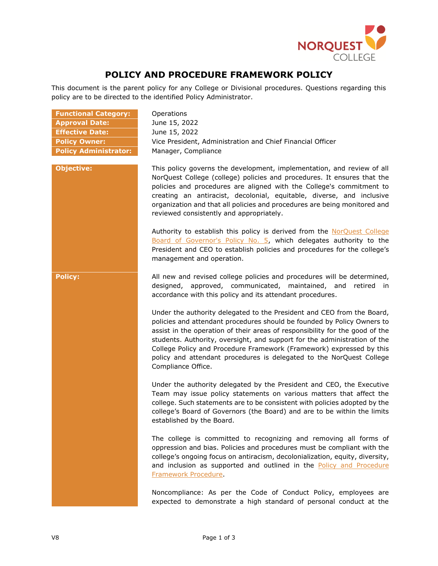

## **POLICY AND PROCEDURE FRAMEWORK POLICY**

This document is the parent policy for any College or Divisional procedures. Questions regarding this policy are to be directed to the identified Policy Administrator.

| <b>Functional Category:</b>  |
|------------------------------|
| <b>Approval Date:</b>        |
| <b>Effective Date:</b>       |
| <b>Policy Owner:</b>         |
| <b>Policy Administrator:</b> |

**Operations Approval Date:** June 15, 2022 **Effective Date:** June 15, 2022 Vice President, Administration and Chief Financial Officer **Manager, Compliance** 

**Objective:** This policy governs the development, implementation, and review of all NorQuest College (college) policies and procedures. It ensures that the policies and procedures are aligned with the College's commitment to creating an antiracist, decolonial, equitable, diverse, and inclusive organization and that all policies and procedures are being monitored and reviewed consistently and appropriately.

> Authority to establish this policy is derived from the [NorQuest College](https://www.norquest.ca/NorquestCollege/media/pdf/about-us/board/policies-procedures/05-Board-Policy_Delegate_authority_to_President.pdf) [Board of Governor's Policy No. 5,](https://www.norquest.ca/NorquestCollege/media/pdf/about-us/board/policies-procedures/05-Board-Policy_Delegate_authority_to_President.pdf) which delegates authority to the President and CEO to establish policies and procedures for the college's management and operation.

**Policy:** All new and revised college policies and procedures will be determined, designed, approved, communicated, maintained, and retired in accordance with this policy and its attendant procedures.

> Under the authority delegated to the President and CEO from the Board, policies and attendant procedures should be founded by Policy Owners to assist in the operation of their areas of responsibility for the good of the students. Authority, oversight, and support for the administration of the College Policy and Procedure Framework (Framework) expressed by this policy and attendant procedures is delegated to the NorQuest College Compliance Office.

> Under the authority delegated by the President and CEO, the Executive Team may issue policy statements on various matters that affect the college. Such statements are to be consistent with policies adopted by the college's Board of Governors (the Board) and are to be within the limits established by the Board.

> The college is committed to recognizing and removing all forms of oppression and bias. Policies and procedures must be compliant with the college's ongoing focus on antiracism, decolonialization, equity, diversity, and inclusion as supported and outlined in the Policy and Procedure [Framework Procedure.](https://www.norquest.ca/about-us/policies-and-procedures/operations/policy-and-procedure-framework-policy/policy-and-procedure-framework-procedure.aspx)

> Noncompliance: As per the Code of Conduct Policy, employees are expected to demonstrate a high standard of personal conduct at the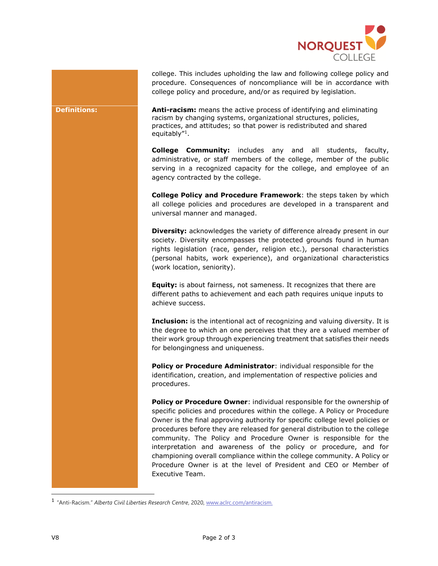

college. This includes upholding the law and following college policy and procedure. Consequences of noncompliance will be in accordance with college policy and procedure, and/or as required by legislation.

**Definitions: Anti-racism:** means the active process of identifying and eliminating racism by changing systems, organizational structures, policies, practices, and attitudes; so that power is redistributed and shared equitably"<sup>1</sup> .

> **College Community:** includes any and all students, faculty, administrative, or staff members of the college, member of the public serving in a recognized capacity for the college, and employee of an agency contracted by the college.

> **College Policy and Procedure Framework**: the steps taken by which all college policies and procedures are developed in a transparent and universal manner and managed.

> **Diversity:** acknowledges the variety of difference already present in our society. Diversity encompasses the protected grounds found in human rights legislation (race, gender, religion etc.), personal characteristics (personal habits, work experience), and organizational characteristics (work location, seniority).

**Equity:** is about fairness, not sameness. It recognizes that there are different paths to achievement and each path requires unique inputs to achieve success.

**Inclusion:** is the intentional act of recognizing and valuing diversity. It is the degree to which an one perceives that they are a valued member of their work group through experiencing treatment that satisfies their needs for belongingness and uniqueness.

**Policy or Procedure Administrator**: individual responsible for the identification, creation, and implementation of respective policies and procedures.

**Policy or Procedure Owner**: individual responsible for the ownership of specific policies and procedures within the college. A Policy or Procedure Owner is the final approving authority for specific college level policies or procedures before they are released for general distribution to the college community. The Policy and Procedure Owner is responsible for the interpretation and awareness of the policy or procedure, and for championing overall compliance within the college community. A Policy or Procedure Owner is at the level of President and CEO or Member of Executive Team.

ł

<sup>1</sup> "Anti-Racism." *Alberta Civil Liberties Research Centre*, 2020, [www.aclrc.com/antiracism.](https://www.aclrc.com/antiracism.)